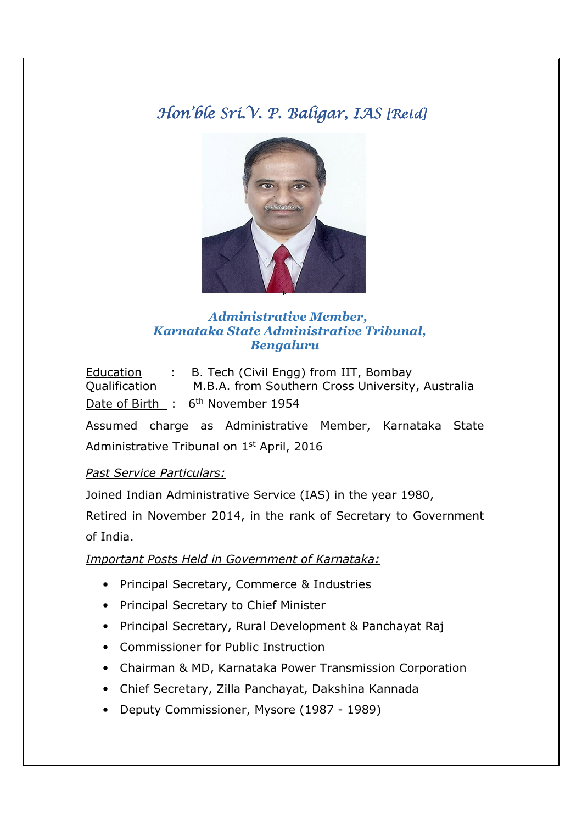# Hon'ble Sri.V. P. Baligar, IAS [Retd]



## *Administrative Member, Karnataka State Administrative Tribunal, Bengaluru*

Education : B. Tech (Civil Engg) from IIT, Bombay Qualification M.B.A. from Southern Cross University, Australia Date of Birth : 6<sup>th</sup> November 1954

Assumed charge as Administrative Member, Karnataka State Administrative Tribunal on 1<sup>st</sup> April, 2016

### *Past Service Particulars:*

Joined Indian Administrative Service (IAS) in the year 1980,

Retired in November 2014, in the rank of Secretary to Government of India.

#### *Important Posts Held in Government of Karnataka:*

- Principal Secretary, Commerce & Industries
- Principal Secretary to Chief Minister
- Principal Secretary, Rural Development & Panchayat Raj
- Commissioner for Public Instruction
- Chairman & MD, Karnataka Power Transmission Corporation
- Chief Secretary, Zilla Panchayat, Dakshina Kannada
- Deputy Commissioner, Mysore (1987 1989)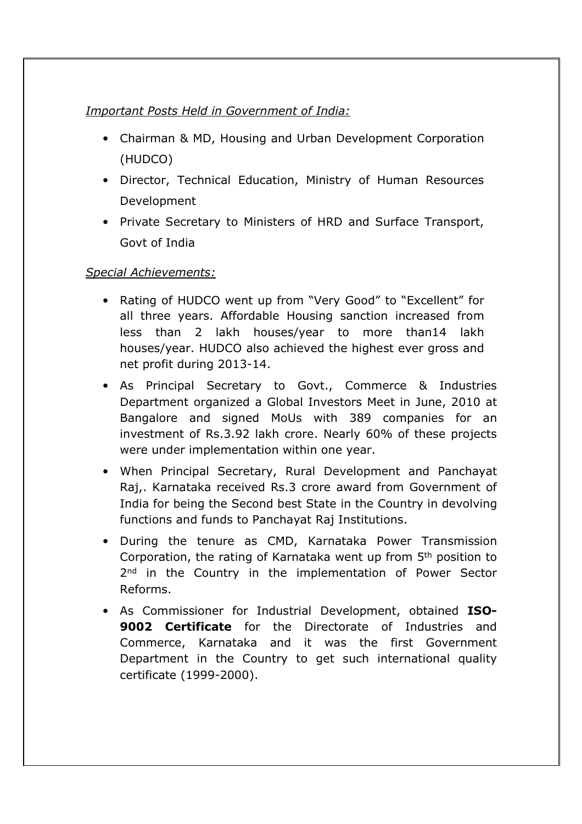## *Important Posts Held in Government of India:*

- Chairman & MD, Housing and Urban Development Corporation (HUDCO)
- Director, Technical Education, Ministry of Human Resources Development
- Private Secretary to Ministers of HRD and Surface Transport, Govt of India

## *Special Achievements:*

- Rating of HUDCO went up from "Very Good" to "Excellent" for all three years. Affordable Housing sanction increased from less than 2 lakh houses/year to more than14 lakh houses/year. HUDCO also achieved the highest ever gross and net profit during 2013-14.
- As Principal Secretary to Govt., Commerce & Industries Department organized a Global Investors Meet in June, 2010 at Bangalore and signed MoUs with 389 companies for an investment of Rs.3.92 lakh crore. Nearly 60% of these projects were under implementation within one year.
- When Principal Secretary, Rural Development and Panchayat Raj,. Karnataka received Rs.3 crore award from Government of India for being the Second best State in the Country in devolving functions and funds to Panchayat Raj Institutions.
- During the tenure as CMD, Karnataka Power Transmission Corporation, the rating of Karnataka went up from 5th position to 2<sup>nd</sup> in the Country in the implementation of Power Sector Reforms.
- As Commissioner for Industrial Development, obtained **ISO-9002 Certificate** for the Directorate of Industries and Commerce, Karnataka and it was the first Government Department in the Country to get such international quality certificate (1999-2000).